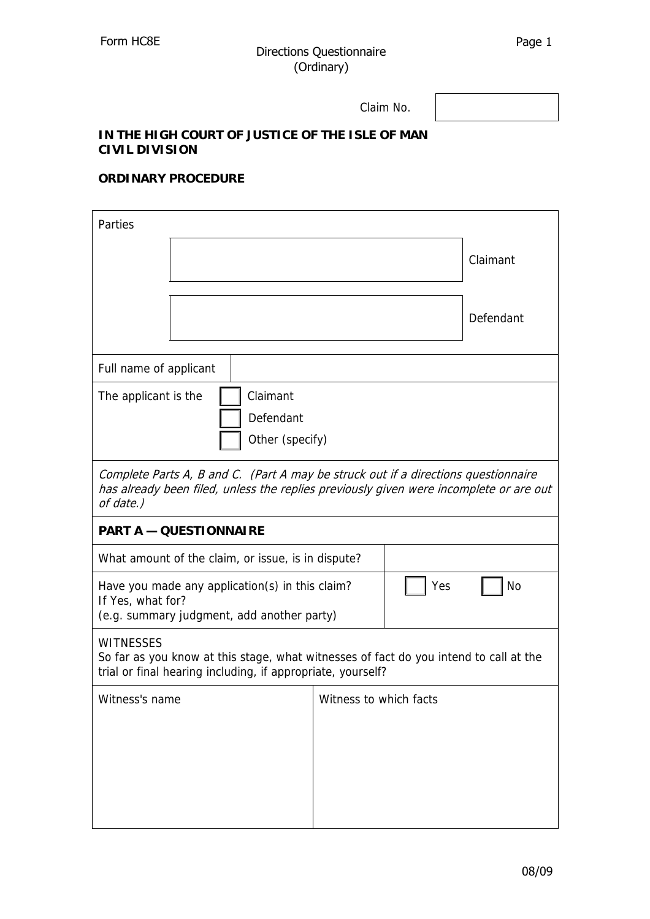Claim No.

## **IN THE HIGH COURT OF JUSTICE OF THE ISLE OF MAN CIVIL DIVISION**

## **ORDINARY PROCEDURE**

| Parties                                                                                                                                                                                   |  |  |                        |     |           |  |
|-------------------------------------------------------------------------------------------------------------------------------------------------------------------------------------------|--|--|------------------------|-----|-----------|--|
|                                                                                                                                                                                           |  |  |                        |     | Claimant  |  |
|                                                                                                                                                                                           |  |  |                        |     | Defendant |  |
| Full name of applicant                                                                                                                                                                    |  |  |                        |     |           |  |
| Claimant<br>The applicant is the<br>Defendant<br>Other (specify)                                                                                                                          |  |  |                        |     |           |  |
| Complete Parts A, B and C. (Part A may be struck out if a directions questionnaire<br>has already been filed, unless the replies previously given were incomplete or are out<br>of date.) |  |  |                        |     |           |  |
| <b>PART A - QUESTIONNAIRE</b>                                                                                                                                                             |  |  |                        |     |           |  |
| What amount of the claim, or issue, is in dispute?                                                                                                                                        |  |  |                        |     |           |  |
| Have you made any application(s) in this claim?<br>If Yes, what for?<br>(e.g. summary judgment, add another party)                                                                        |  |  |                        | Yes | <b>No</b> |  |
| <b>WITNESSES</b><br>So far as you know at this stage, what witnesses of fact do you intend to call at the<br>trial or final hearing including, if appropriate, yourself?                  |  |  |                        |     |           |  |
| Witness's name                                                                                                                                                                            |  |  | Witness to which facts |     |           |  |
|                                                                                                                                                                                           |  |  |                        |     |           |  |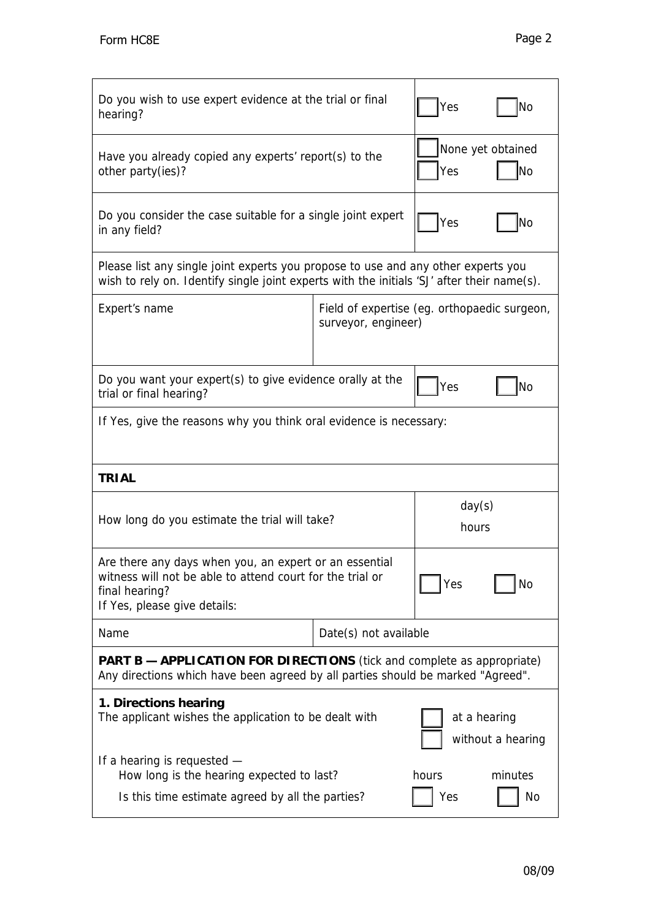| Do you wish to use expert evidence at the trial or final<br>hearing?                                                                                                               | Yes                                                                 | No           |                   |  |  |
|------------------------------------------------------------------------------------------------------------------------------------------------------------------------------------|---------------------------------------------------------------------|--------------|-------------------|--|--|
| Have you already copied any experts' report(s) to the<br>other party(ies)?                                                                                                         | None yet obtained<br>Yes                                            | lNo          |                   |  |  |
| Do you consider the case suitable for a single joint expert<br>in any field?                                                                                                       | Yes                                                                 | No           |                   |  |  |
| Please list any single joint experts you propose to use and any other experts you<br>wish to rely on. Identify single joint experts with the initials 'SJ' after their name(s).    |                                                                     |              |                   |  |  |
| Expert's name                                                                                                                                                                      | Field of expertise (eg. orthopaedic surgeon,<br>surveyor, engineer) |              |                   |  |  |
| Do you want your expert(s) to give evidence orally at the<br>trial or final hearing?                                                                                               |                                                                     | Yes          | No                |  |  |
| If Yes, give the reasons why you think oral evidence is necessary:                                                                                                                 |                                                                     |              |                   |  |  |
| <b>TRIAL</b>                                                                                                                                                                       |                                                                     |              |                   |  |  |
| How long do you estimate the trial will take?                                                                                                                                      | day(s)<br>hours                                                     |              |                   |  |  |
| Are there any days when you, an expert or an essential<br>witness will not be able to attend court for the trial or<br>Yes<br>No<br>final hearing?<br>If Yes, please give details: |                                                                     |              |                   |  |  |
|                                                                                                                                                                                    |                                                                     |              |                   |  |  |
| Name                                                                                                                                                                               | Date(s) not available                                               |              |                   |  |  |
| <b>PART B - APPLICATION FOR DIRECTIONS</b> (tick and complete as appropriate)<br>Any directions which have been agreed by all parties should be marked "Agreed".                   |                                                                     |              |                   |  |  |
| 1. Directions hearing<br>The applicant wishes the application to be dealt with                                                                                                     |                                                                     | at a hearing | without a hearing |  |  |
| If a hearing is requested -<br>How long is the hearing expected to last?                                                                                                           |                                                                     | hours        | minutes           |  |  |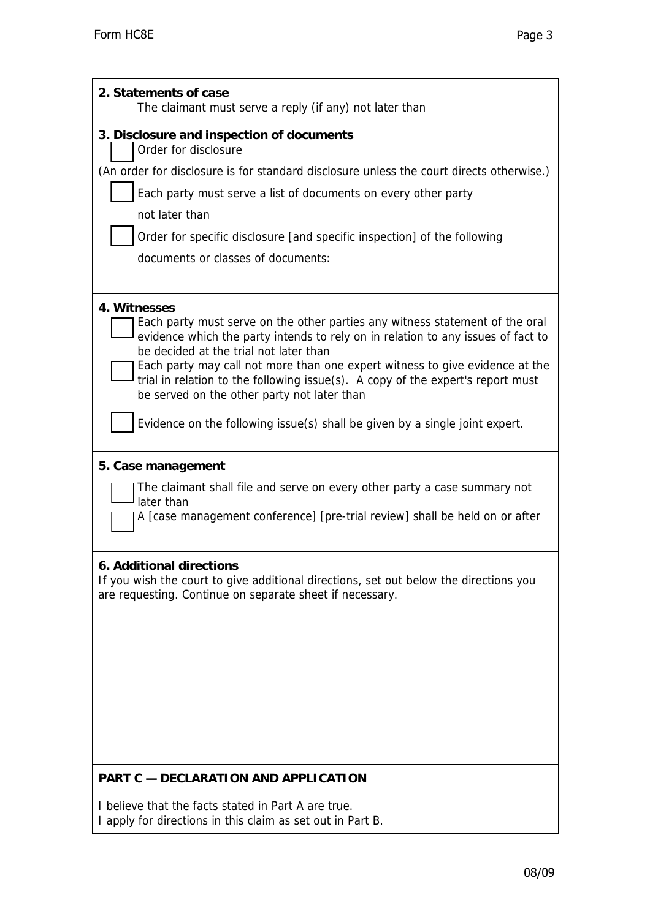| 2. Statements of case<br>The claimant must serve a reply (if any) not later than                                                                                                                                                                                                                                                                                                                                                             |  |  |  |  |
|----------------------------------------------------------------------------------------------------------------------------------------------------------------------------------------------------------------------------------------------------------------------------------------------------------------------------------------------------------------------------------------------------------------------------------------------|--|--|--|--|
| 3. Disclosure and inspection of documents<br>Order for disclosure                                                                                                                                                                                                                                                                                                                                                                            |  |  |  |  |
| (An order for disclosure is for standard disclosure unless the court directs otherwise.)                                                                                                                                                                                                                                                                                                                                                     |  |  |  |  |
| Each party must serve a list of documents on every other party                                                                                                                                                                                                                                                                                                                                                                               |  |  |  |  |
| not later than                                                                                                                                                                                                                                                                                                                                                                                                                               |  |  |  |  |
| Order for specific disclosure [and specific inspection] of the following                                                                                                                                                                                                                                                                                                                                                                     |  |  |  |  |
| documents or classes of documents:                                                                                                                                                                                                                                                                                                                                                                                                           |  |  |  |  |
| 4. Witnesses<br>Each party must serve on the other parties any witness statement of the oral<br>evidence which the party intends to rely on in relation to any issues of fact to<br>be decided at the trial not later than<br>Each party may call not more than one expert witness to give evidence at the<br>trial in relation to the following issue(s). A copy of the expert's report must<br>be served on the other party not later than |  |  |  |  |
| Evidence on the following issue(s) shall be given by a single joint expert.                                                                                                                                                                                                                                                                                                                                                                  |  |  |  |  |
| 5. Case management                                                                                                                                                                                                                                                                                                                                                                                                                           |  |  |  |  |
| The claimant shall file and serve on every other party a case summary not<br>later than                                                                                                                                                                                                                                                                                                                                                      |  |  |  |  |
| A [case management conference] [pre-trial review] shall be held on or after                                                                                                                                                                                                                                                                                                                                                                  |  |  |  |  |
| 6. Additional directions<br>If you wish the court to give additional directions, set out below the directions you<br>are requesting. Continue on separate sheet if necessary.                                                                                                                                                                                                                                                                |  |  |  |  |
|                                                                                                                                                                                                                                                                                                                                                                                                                                              |  |  |  |  |
|                                                                                                                                                                                                                                                                                                                                                                                                                                              |  |  |  |  |
|                                                                                                                                                                                                                                                                                                                                                                                                                                              |  |  |  |  |
| <b>PART C - DECLARATION AND APPLICATION</b>                                                                                                                                                                                                                                                                                                                                                                                                  |  |  |  |  |
| I believe that the facts stated in Part A are true.<br>I apply for directions in this claim as set out in Part B.                                                                                                                                                                                                                                                                                                                            |  |  |  |  |